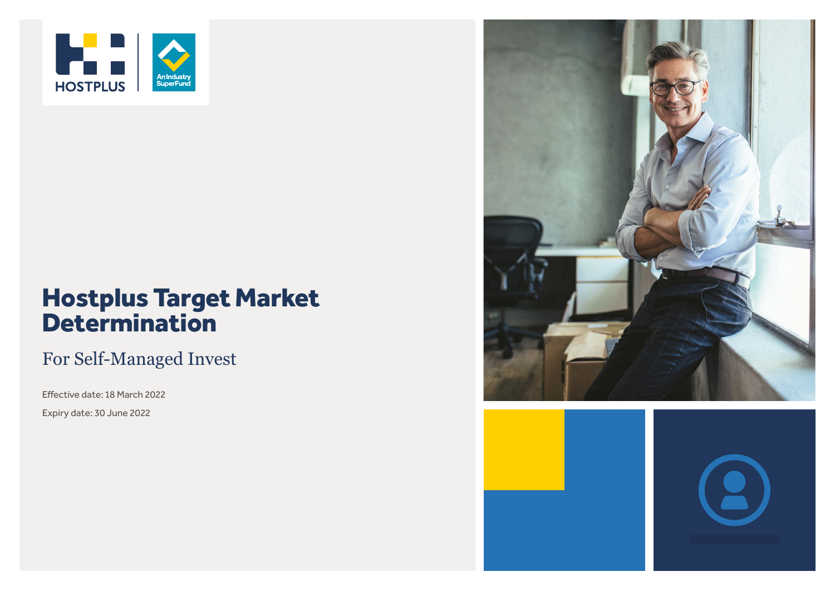

# Hostplus Target Market **Determination**

### For Self-Managed Invest

Effective date: 18 March 2022

Expiry date: 30 June 2022

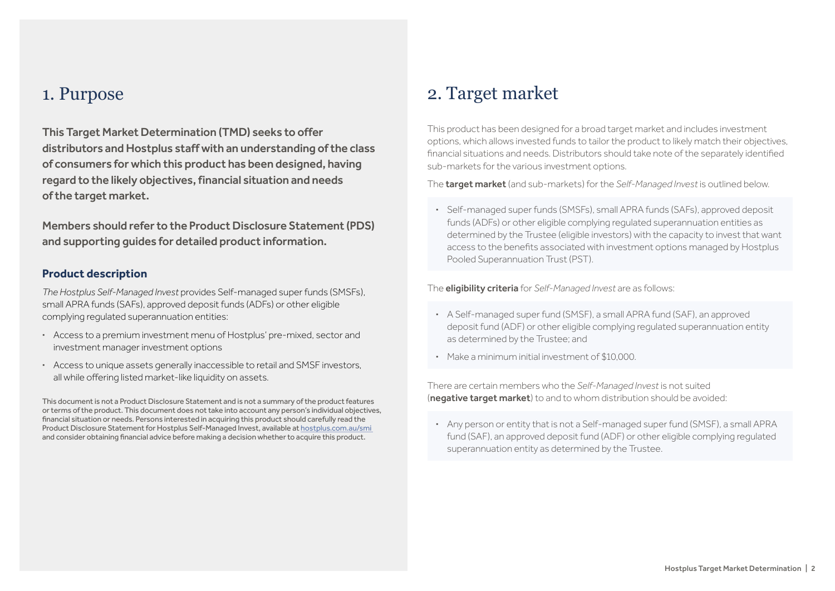#### 1. Purpose

This Target Market Determination (TMD) seeks to offer distributors and Hostplus staff with an understanding of the class of consumers for which this product has been designed, having regard to the likely objectives, financial situation and needs of the target market.

Members should refer to the Product Disclosure Statement (PDS) and supporting guides for detailed product information.

#### **Product description**

*The Hostplus Self-Managed Invest* provides Self-managed super funds (SMSFs), small APRA funds (SAFs), approved deposit funds (ADFs) or other eligible complying regulated superannuation entities:

- **·** Access to a premium investment menu of Hostplus' pre-mixed, sector and investment manager investment options
- **·** Access to unique assets generally inaccessible to retail and SMSF investors, all while offering listed market-like liquidity on assets.

This document is not a Product Disclosure Statement and is not a summary of the product features or terms of the product. This document does not take into account any person's individual objectives, financial situation or needs. Persons interested in acquiring this product should carefully read the Product Disclosure Statement for Hostplus Self-Managed Invest, available at [hostplus.com.au/smi](https://hostplus.com.au/smi)  and consider obtaining financial advice before making a decision whether to acquire this product.

### 2. Target market

This product has been designed for a broad target market and includes investment options, which allows invested funds to tailor the product to likely match their objectives, financial situations and needs. Distributors should take note of the separately identified sub-markets for the various investment options.

The target market (and sub-markets) for the *Self-Managed Invest* is outlined below.

**·** Self-managed super funds (SMSFs), small APRA funds (SAFs), approved deposit funds (ADFs) or other eligible complying regulated superannuation entities as determined by the Trustee (eligible investors) with the capacity to invest that want access to the benefits associated with investment options managed by Hostplus Pooled Superannuation Trust (PST).

The eligibility criteria for *Self-Managed Invest* are as follows:

- **·** A Self-managed super fund (SMSF), a small APRA fund (SAF), an approved deposit fund (ADF) or other eligible complying regulated superannuation entity as determined by the Trustee; and
- **·** Make a minimum initial investment of \$10,000.

There are certain members who the *Self-Managed Invest* is not suited (negative target market) to and to whom distribution should be avoided:

**·** Any person or entity that is not a Self-managed super fund (SMSF), a small APRA fund (SAF), an approved deposit fund (ADF) or other eligible complying regulated superannuation entity as determined by the Trustee.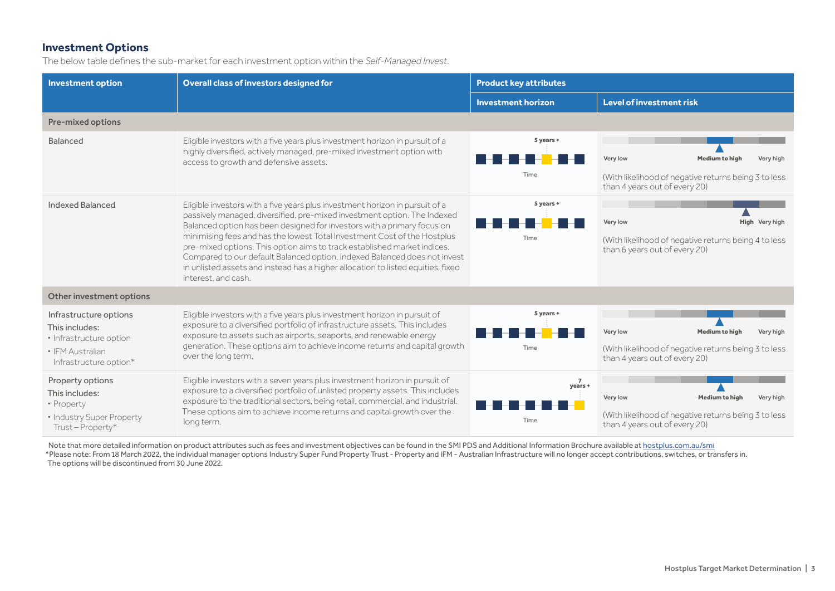#### **Investment Options**

The below table defines the sub-market for each investment option within the *Self-Managed Invest*.

| <b>Investment option</b>                                                                                          | Overall class of investors designed for                                                                                                                                                                                                                                                                                                                                                                                                                                                                                                                                             | <b>Product key attributes</b> |                                                                                                                                         |  |
|-------------------------------------------------------------------------------------------------------------------|-------------------------------------------------------------------------------------------------------------------------------------------------------------------------------------------------------------------------------------------------------------------------------------------------------------------------------------------------------------------------------------------------------------------------------------------------------------------------------------------------------------------------------------------------------------------------------------|-------------------------------|-----------------------------------------------------------------------------------------------------------------------------------------|--|
|                                                                                                                   |                                                                                                                                                                                                                                                                                                                                                                                                                                                                                                                                                                                     | <b>Investment horizon</b>     | Level of investment risk                                                                                                                |  |
| <b>Pre-mixed options</b>                                                                                          |                                                                                                                                                                                                                                                                                                                                                                                                                                                                                                                                                                                     |                               |                                                                                                                                         |  |
| Balanced                                                                                                          | Eligible investors with a five years plus investment horizon in pursuit of a<br>highly diversified, actively managed, pre-mixed investment option with<br>access to growth and defensive assets.                                                                                                                                                                                                                                                                                                                                                                                    | 5 years +<br>Time             | Very low<br><b>Medium to high</b><br>Very high<br>(With likelihood of negative returns being 3 to less<br>than 4 years out of every 20) |  |
| Indexed Balanced                                                                                                  | Eligible investors with a five years plus investment horizon in pursuit of a<br>passively managed, diversified, pre-mixed investment option. The Indexed<br>Balanced option has been designed for investors with a primary focus on<br>minimising fees and has the lowest Total Investment Cost of the Hostplus<br>pre-mixed options. This option aims to track established market indices.<br>Compared to our default Balanced option, Indexed Balanced does not invest<br>in unlisted assets and instead has a higher allocation to listed equities, fixed<br>interest, and cash. | 5 years +<br>Time             | High Very high<br>Very low<br>(With likelihood of negative returns being 4 to less<br>than 6 years out of every 20)                     |  |
| Other investment options                                                                                          |                                                                                                                                                                                                                                                                                                                                                                                                                                                                                                                                                                                     |                               |                                                                                                                                         |  |
| Infrastructure options<br>This includes:<br>· Infrastructure option<br>· IFM Australian<br>Infrastructure option* | Eligible investors with a five years plus investment horizon in pursuit of<br>exposure to a diversified portfolio of infrastructure assets. This includes<br>exposure to assets such as airports, seaports, and renewable energy<br>generation. These options aim to achieve income returns and capital growth<br>over the long term.                                                                                                                                                                                                                                               | 5 years +<br>Time             | Very low<br><b>Medium to high</b><br>Very high<br>(With likelihood of negative returns being 3 to less<br>than 4 years out of every 20) |  |
| Property options<br>This includes:<br>· Property<br>• Industry Super Property<br>Trust-Property*                  | Eligible investors with a seven years plus investment horizon in pursuit of<br>exposure to a diversified portfolio of unlisted property assets. This includes<br>exposure to the traditional sectors, being retail, commercial, and industrial.<br>These options aim to achieve income returns and capital growth over the<br>long term.                                                                                                                                                                                                                                            | years +<br>Time               | Very low<br><b>Medium to high</b><br>Very high<br>(With likelihood of negative returns being 3 to less<br>than 4 years out of every 20) |  |

Note that more detailed information on product attributes such as fees and investment objectives can be found in the SMI PDS and Additional Information Brochure available at [hostplus.com.au/smi](https://hostplus.com.au/smi) \*Please note: From 18 March 2022, the individual manager options Industry Super Fund Property Trust - Property and IFM - Australian Infrastructure will no longer accept contributions, switches, or transfers in. The options will be discontinued from 30 June 2022.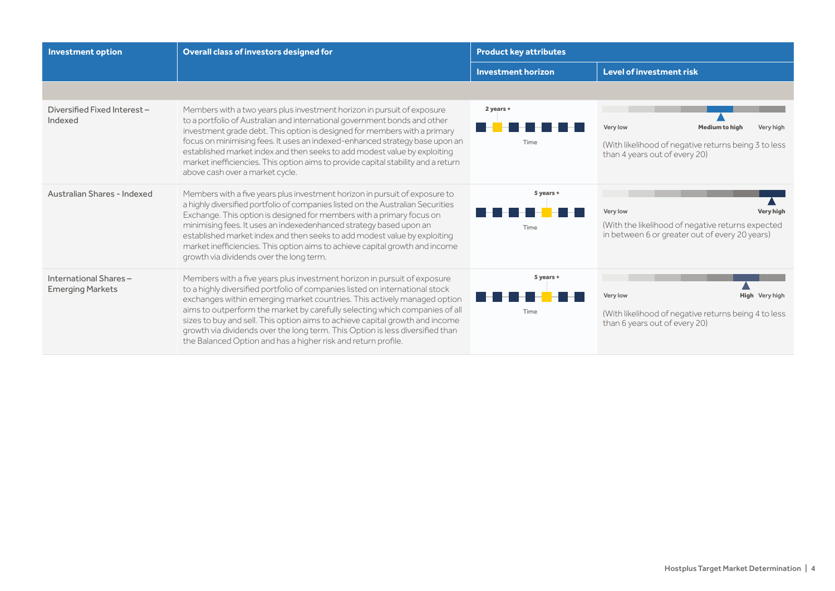| <b>Investment option</b>                         | Overall class of investors designed for                                                                                                                                                                                                                                                                                                                                                                                                                                                                                                               | <b>Product key attributes</b> |                                                                                                                                         |
|--------------------------------------------------|-------------------------------------------------------------------------------------------------------------------------------------------------------------------------------------------------------------------------------------------------------------------------------------------------------------------------------------------------------------------------------------------------------------------------------------------------------------------------------------------------------------------------------------------------------|-------------------------------|-----------------------------------------------------------------------------------------------------------------------------------------|
|                                                  |                                                                                                                                                                                                                                                                                                                                                                                                                                                                                                                                                       | <b>Investment horizon</b>     | <b>Level of investment risk</b>                                                                                                         |
|                                                  |                                                                                                                                                                                                                                                                                                                                                                                                                                                                                                                                                       |                               |                                                                                                                                         |
| Diversified Fixed Interest-<br>Indexed           | Members with a two years plus investment horizon in pursuit of exposure<br>to a portfolio of Australian and international government bonds and other<br>investment grade debt. This option is designed for members with a primary<br>focus on minimising fees. It uses an indexed-enhanced strategy base upon an<br>established market index and then seeks to add modest value by exploiting<br>market inefficiencies. This option aims to provide capital stability and a return<br>above cash over a market cycle.                                 | 2 years +<br>Time             | Very low<br><b>Medium to high</b><br>Very high<br>(With likelihood of negative returns being 3 to less<br>than 4 years out of every 20) |
| Australian Shares - Indexed                      | Members with a five years plus investment horizon in pursuit of exposure to<br>a highly diversified portfolio of companies listed on the Australian Securities<br>Exchange. This option is designed for members with a primary focus on<br>minimising fees. It uses an indexedenhanced strategy based upon an<br>established market index and then seeks to add modest value by exploiting<br>market inefficiencies. This option aims to achieve capital growth and income<br>growth via dividends over the long term.                                | 5 years +<br>Time             | Very low<br><b>Very high</b><br>(With the likelihood of negative returns expected<br>in between 6 or greater out of every 20 years)     |
| International Shares-<br><b>Emerging Markets</b> | Members with a five years plus investment horizon in pursuit of exposure<br>to a highly diversified portfolio of companies listed on international stock<br>exchanges within emerging market countries. This actively managed option<br>aims to outperform the market by carefully selecting which companies of all<br>sizes to buy and sell. This option aims to achieve capital growth and income<br>growth via dividends over the long term. This Option is less diversified than<br>the Balanced Option and has a higher risk and return profile. | 5 years +<br>Time             | Very low<br>High Very high<br>(With likelihood of negative returns being 4 to less<br>than 6 years out of every 20)                     |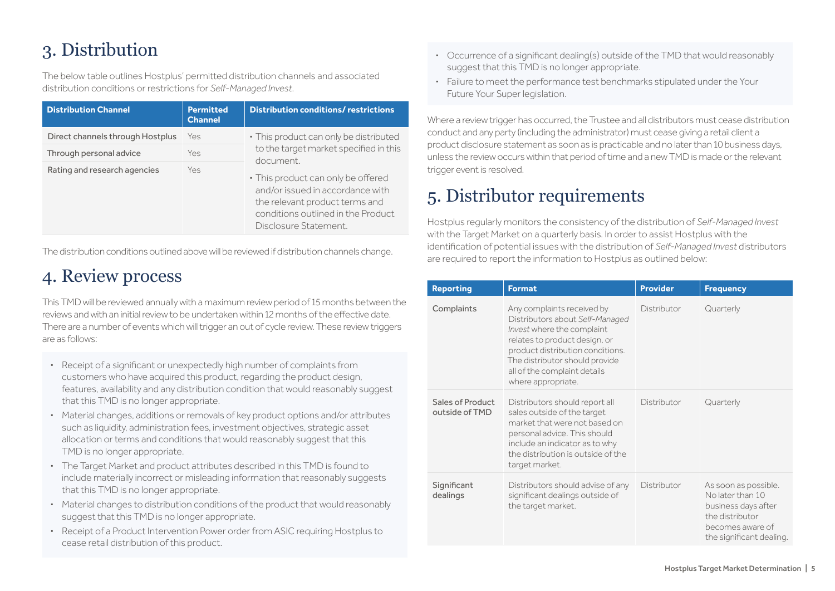## 3. Distribution

The below table outlines Hostplus' permitted distribution channels and associated distribution conditions or restrictions for *Self-Managed Invest*.

| <b>Distribution Channel</b>      | <b>Permitted</b><br><b>Channel</b> | <b>Distribution conditions/ restrictions</b>                                                                                                                            |  |
|----------------------------------|------------------------------------|-------------------------------------------------------------------------------------------------------------------------------------------------------------------------|--|
| Direct channels through Hostplus | Yes                                | • This product can only be distributed                                                                                                                                  |  |
| Through personal advice          | Yes                                | to the target market specified in this<br>document.                                                                                                                     |  |
| Rating and research agencies     | Yes                                | • This product can only be offered<br>and/or issued in accordance with<br>the relevant product terms and<br>conditions outlined in the Product<br>Disclosure Statement. |  |

The distribution conditions outlined above will be reviewed if distribution channels change.

### 4. Review process

This TMD will be reviewed annually with a maximum review period of 15 months between the reviews and with an initial review to be undertaken within 12 months of the effective date. There are a number of events which will trigger an out of cycle review. These review triggers are as follows:

- **·** Receipt of a significant or unexpectedly high number of complaints from customers who have acquired this product, regarding the product design, features, availability and any distribution condition that would reasonably suggest that this TMD is no longer appropriate.
- **·** Material changes, additions or removals of key product options and/or attributes such as liquidity, administration fees, investment objectives, strategic asset allocation or terms and conditions that would reasonably suggest that this TMD is no longer appropriate.
- **·** The Target Market and product attributes described in this TMD is found to include materially incorrect or misleading information that reasonably suggests that this TMD is no longer appropriate.
- **·** Material changes to distribution conditions of the product that would reasonably suggest that this TMD is no longer appropriate.
- **·** Receipt of a Product Intervention Power order from ASIC requiring Hostplus to cease retail distribution of this product.
- **·** Occurrence of a significant dealing(s) outside of the TMD that would reasonably suggest that this TMD is no longer appropriate.
- **·** Failure to meet the performance test benchmarks stipulated under the Your Future Your Super legislation.

Where a review trigger has occurred, the Trustee and all distributors must cease distribution conduct and any party (including the administrator) must cease giving a retail client a product disclosure statement as soon as is practicable and no later than 10 business days, unless the review occurs within that period of time and a new TMD is made or the relevant trigger event is resolved.

### 5. Distributor requirements

Hostplus regularly monitors the consistency of the distribution of *Self-Managed Invest* with the Target Market on a quarterly basis. In order to assist Hostplus with the identification of potential issues with the distribution of *Self-Managed Invest* distributors are required to report the information to Hostplus as outlined below:

| <b>Reporting</b>                   | <b>Format</b>                                                                                                                                                                                                                                            | <b>Provider</b> | <b>Frequency</b>                                                                                                                   |
|------------------------------------|----------------------------------------------------------------------------------------------------------------------------------------------------------------------------------------------------------------------------------------------------------|-----------------|------------------------------------------------------------------------------------------------------------------------------------|
| Complaints                         | Any complaints received by<br>Distributors about Self-Managed<br>Invest where the complaint<br>relates to product design, or<br>product distribution conditions.<br>The distributor should provide<br>all of the complaint details<br>where appropriate. | Distributor     | Quarterly                                                                                                                          |
| Sales of Product<br>outside of TMD | Distributors should report all<br>sales outside of the target<br>market that were not based on<br>personal advice. This should<br>include an indicator as to why<br>the distribution is outside of the<br>target market.                                 | Distributor     | Quarterly                                                                                                                          |
| Significant<br>dealings            | Distributors should advise of any<br>significant dealings outside of<br>the target market.                                                                                                                                                               | Distributor     | As soon as possible.<br>No later than 10<br>business days after<br>the distributor<br>becomes aware of<br>the significant dealing. |